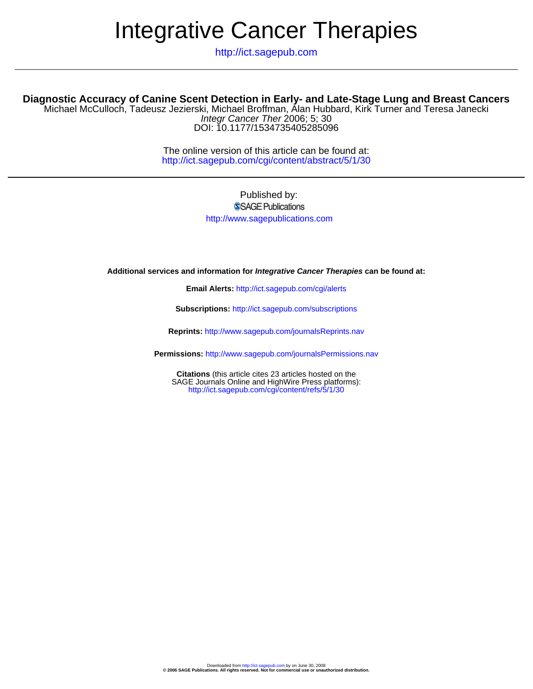# Integrative Cancer Therapies

http://ict.sagepub.com

## **Diagnostic Accuracy of Canine Scent Detection in Early- and Late-Stage Lung and Breast Cancers**

DOI: 10.1177/1534735405285096 Integr Cancer Ther 2006; 5; 30 Michael McCulloch, Tadeusz Jezierski, Michael Broffman, Alan Hubbard, Kirk Turner and Teresa Janecki

> http://ict.sagepub.com/cgi/content/abstract/5/1/30 The online version of this article can be found at:

> > Published by: SSAGE Publications http://www.sagepublications.com

**Additional services and information for Integrative Cancer Therapies can be found at:**

**Email Alerts:** <http://ict.sagepub.com/cgi/alerts>

**Subscriptions:** <http://ict.sagepub.com/subscriptions>

**Reprints:** <http://www.sagepub.com/journalsReprints.nav>

**Permissions:** <http://www.sagepub.com/journalsPermissions.nav>

<http://ict.sagepub.com/cgi/content/refs/5/1/30> SAGE Journals Online and HighWire Press platforms): **Citations** (this article cites 23 articles hosted on the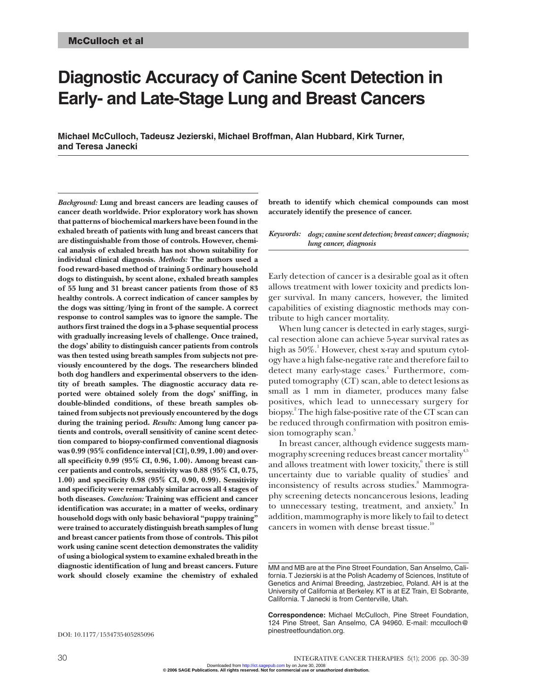# **Diagnostic Accuracy of Canine Scent Detection in Early- and Late-Stage Lung and Breast Cancers**

**Michael McCulloch, Tadeusz Jezierski, Michael Broffman, Alan Hubbard, Kirk Turner, and Teresa Janecki**

*Background:* **Lung and breast cancers are leading causes of cancer death worldwide. Prior exploratory work has shown that patterns of biochemical markers have been found in the exhaled breath of patients with lung and breast cancers that are distinguishable from those of controls. However, chemical analysis of exhaled breath has not shown suitability for individual clinical diagnosis.** *Methods:* **The authors used a food reward-based method of training 5 ordinary household dogs to distinguish, by scent alone, exhaled breath samples of 55 lung and 31 breast cancer patients from those of 83 healthy controls. A correct indication of cancer samples by the dogs was sitting/lying in front of the sample. A correct response to control samples was to ignore the sample. The authors first trained the dogs in a 3-phase sequential process with gradually increasing levels of challenge. Once trained, the dogs' ability to distinguish cancer patients from controls was then tested using breath samples from subjects not previously encountered by the dogs. The researchers blinded both dog handlers and experimental observers to the identity of breath samples. The diagnostic accuracy data reported were obtained solely from the dogs' sniffing, in double-blinded conditions, of these breath samples obtained from subjects not previously encountered by the dogs during the training period.** *Results:* **Among lung cancer patients and controls, overall sensitivity of canine scent detection compared to biopsy-confirmed conventional diagnosis was 0.99 (95% confidence interval [CI], 0.99, 1.00) and overall specificity 0.99 (95% CI, 0.96, 1.00). Among breast cancer patients and controls, sensitivity was 0.88 (95% CI, 0.75, 1.00) and specificity 0.98 (95% CI, 0.90, 0.99). Sensitivity and specificity were remarkably similar across all 4 stages of both diseases.** *Conclusion:* **Training was efficient and cancer identification was accurate; in a matter of weeks, ordinary household dogs with only basic behavioral "puppy training" were trained to accurately distinguish breath samples of lung and breast cancer patients from those of controls. This pilot work using canine scent detection demonstrates the validity of using a biological system to examine exhaled breath in the diagnostic identification of lung and breast cancers. Future work should closely examine the chemistry of exhaled** **breath to identify which chemical compounds can most accurately identify the presence of cancer.**

*Keywords: dogs; canine scent detection; breast cancer; diagnosis; lung cancer, diagnosis*

Early detection of cancer is a desirable goal as it often allows treatment with lower toxicity and predicts longer survival. In many cancers, however, the limited capabilities of existing diagnostic methods may contribute to high cancer mortality.

When lung cancer is detected in early stages, surgical resection alone can achieve 5-year survival rates as high as  $50\%$ .<sup>1</sup> However, chest x-ray and sputum cytology have a high false-negative rate and therefore fail to detect many early-stage cases.<sup>1</sup> Furthermore, computed tomography (CT) scan, able to detect lesions as small as 1 mm in diameter, produces many false positives, which lead to unnecessary surgery for biopsy.2 The high false-positive rate of the CT scan can be reduced through confirmation with positron emission tomography scan.<sup>3</sup>

In breast cancer, although evidence suggests mammography screening reduces breast cancer mortality<sup>4,5</sup> and allows treatment with lower toxicity, $^6$  there is still uncertainty due to variable quality of studies $^7$  and inconsistency of results across studies.8 Mammography screening detects noncancerous lesions, leading to unnecessary testing, treatment, and anxiety.<sup>9</sup> In addition, mammography is more likely to fail to detect cancers in women with dense breast tissue. $10$ 

**Correspondence:** Michael McCulloch, Pine Street Foundation, 124 Pine Street, San Anselmo, CA 94960. E-mail: mcculloch@

pinestreetfoundation.org. DOI: 10.1177/1534735405285096

30 INTEGRATIVE CANCER THERAPIES 5(1); 2006 pp. 30-39 **© 2006 SAGE Publications. All rights reserved. Not for commercial use or unauthorized distribution.** Downloaded fro[m http://ict.sagepub.com](http://ict.sagepub.com) by on June 30, 2008

MM and MB are at the Pine Street Foundation, San Anselmo, California. T Jezierski is at the Polish Academy of Sciences, Institute of Genetics and Animal Breeding, Jastrzebiec, Poland. AH is at the University of California at Berkeley. KT is at EZ Train, El Sobrante, California. T Janecki is from Centerville, Utah.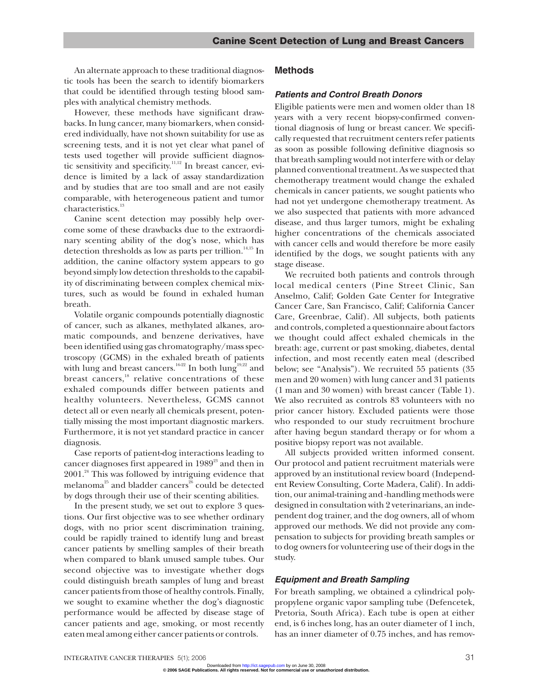An alternate approach to these traditional diagnostic tools has been the search to identify biomarkers that could be identified through testing blood samples with analytical chemistry methods.

However, these methods have significant drawbacks. In lung cancer, many biomarkers, when considered individually, have not shown suitability for use as screening tests, and it is not yet clear what panel of tests used together will provide sufficient diagnostic sensitivity and specificity.<sup>11,12</sup> In breast cancer, evidence is limited by a lack of assay standardization and by studies that are too small and are not easily comparable, with heterogeneous patient and tumor characteristics.<sup>13</sup>

Canine scent detection may possibly help overcome some of these drawbacks due to the extraordinary scenting ability of the dog's nose, which has detection thresholds as low as parts per trillion. $14,15$  In addition, the canine olfactory system appears to go beyond simply low detection thresholds to the capability of discriminating between complex chemical mixtures, such as would be found in exhaled human breath.

Volatile organic compounds potentially diagnostic of cancer, such as alkanes, methylated alkanes, aromatic compounds, and benzene derivatives, have been identified using gas chromatography/mass spectroscopy (GCMS) in the exhaled breath of patients with lung and breast cancers.<sup>16-22</sup> In both lung<sup>19,22</sup> and breast cancers,<sup>18</sup> relative concentrations of these exhaled compounds differ between patients and healthy volunteers. Nevertheless, GCMS cannot detect all or even nearly all chemicals present, potentially missing the most important diagnostic markers. Furthermore, it is not yet standard practice in cancer diagnosis.

Case reports of patient-dog interactions leading to cancer diagnoses first appeared in  $1989^{\text{23}}$  and then in  $2001<sup>24</sup>$  This was followed by intriguing evidence that melanoma<sup>25</sup> and bladder cancers<sup>26</sup> could be detected by dogs through their use of their scenting abilities.

In the present study, we set out to explore 3 questions. Our first objective was to see whether ordinary dogs, with no prior scent discrimination training, could be rapidly trained to identify lung and breast cancer patients by smelling samples of their breath when compared to blank unused sample tubes. Our second objective was to investigate whether dogs could distinguish breath samples of lung and breast cancer patients from those of healthy controls. Finally, we sought to examine whether the dog's diagnostic performance would be affected by disease stage of cancer patients and age, smoking, or most recently eaten meal among either cancer patients or controls.

#### **Methods**

#### **Patients and Control Breath Donors**

Eligible patients were men and women older than 18 years with a very recent biopsy-confirmed conventional diagnosis of lung or breast cancer. We specifically requested that recruitment centers refer patients as soon as possible following definitive diagnosis so that breath sampling would not interfere with or delay planned conventional treatment. As we suspected that chemotherapy treatment would change the exhaled chemicals in cancer patients, we sought patients who had not yet undergone chemotherapy treatment. As we also suspected that patients with more advanced disease, and thus larger tumors, might be exhaling higher concentrations of the chemicals associated with cancer cells and would therefore be more easily identified by the dogs, we sought patients with any stage disease.

We recruited both patients and controls through local medical centers (Pine Street Clinic, San Anselmo, Calif; Golden Gate Center for Integrative Cancer Care, San Francisco, Calif; California Cancer Care, Greenbrae, Calif). All subjects, both patients and controls, completed a questionnaire about factors we thought could affect exhaled chemicals in the breath: age, current or past smoking, diabetes, dental infection, and most recently eaten meal (described below; see "Analysis"). We recruited 55 patients (35 men and 20 women) with lung cancer and 31 patients (1 man and 30 women) with breast cancer (Table 1). We also recruited as controls 83 volunteers with no prior cancer history. Excluded patients were those who responded to our study recruitment brochure after having begun standard therapy or for whom a positive biopsy report was not available.

All subjects provided written informed consent. Our protocol and patient recruitment materials were approved by an institutional review board (Independent Review Consulting, Corte Madera, Calif). In addition, our animal-training and -handling methods were designed in consultation with 2 veterinarians, an independent dog trainer, and the dog owners, all of whom approved our methods. We did not provide any compensation to subjects for providing breath samples or to dog owners for volunteering use of their dogs in the study.

#### **Equipment and Breath Sampling**

For breath sampling, we obtained a cylindrical polypropylene organic vapor sampling tube (Defencetek, Pretoria, South Africa). Each tube is open at either end, is 6 inches long, has an outer diameter of 1 inch, has an inner diameter of 0.75 inches, and has remov-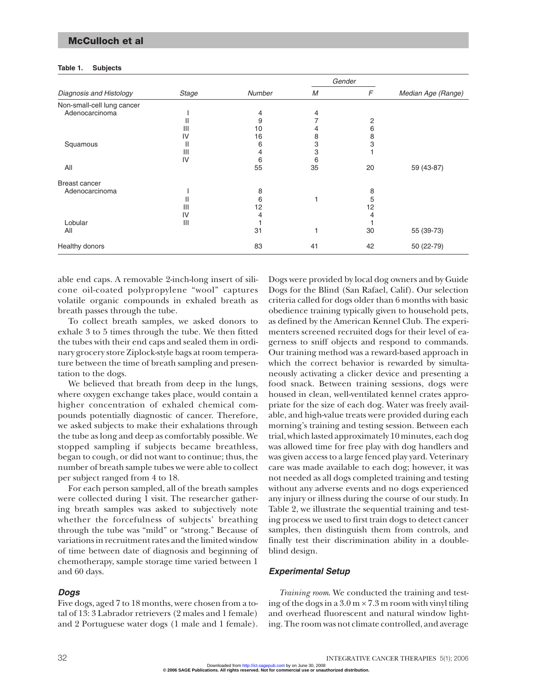#### **McCulloch et al**

#### **Table 1. Subjects**

|                            |                |        | Gender |    |                    |  |
|----------------------------|----------------|--------|--------|----|--------------------|--|
| Diagnosis and Histology    | Stage          | Number | M      | F  | Median Age (Range) |  |
| Non-small-cell lung cancer |                |        |        |    |                    |  |
| Adenocarcinoma             |                | 4      | 4      |    |                    |  |
|                            | ш              | 9      |        | 2  |                    |  |
|                            | Ш              | 10     |        | 6  |                    |  |
|                            | IV             | 16     | 8      | 8  |                    |  |
| Squamous                   | Ш              | 6      | 3      | 3  |                    |  |
|                            | $\mathbf{III}$ | 4      | 3      |    |                    |  |
|                            | IV             | 6      | 6      |    |                    |  |
| All                        |                | 55     | 35     | 20 | 59 (43-87)         |  |
| <b>Breast cancer</b>       |                |        |        |    |                    |  |
| Adenocarcinoma             |                | 8      |        | 8  |                    |  |
|                            | ш              | 6      |        | 5  |                    |  |
|                            | $\mathbf{III}$ | 12     |        | 12 |                    |  |
|                            | IV             | 4      |        |    |                    |  |
| Lobular                    | III            |        |        |    |                    |  |
| All                        |                | 31     |        | 30 | 55 (39-73)         |  |
| Healthy donors             |                | 83     | 41     | 42 | 50 (22-79)         |  |

able end caps. A removable 2-inch-long insert of silicone oil-coated polypropylene "wool" captures volatile organic compounds in exhaled breath as breath passes through the tube.

To collect breath samples, we asked donors to exhale 3 to 5 times through the tube. We then fitted the tubes with their end caps and sealed them in ordinary grocery store Ziplock-style bags at room temperature between the time of breath sampling and presentation to the dogs.

We believed that breath from deep in the lungs, where oxygen exchange takes place, would contain a higher concentration of exhaled chemical compounds potentially diagnostic of cancer. Therefore, we asked subjects to make their exhalations through the tube as long and deep as comfortably possible. We stopped sampling if subjects became breathless, began to cough, or did not want to continue; thus, the number of breath sample tubes we were able to collect per subject ranged from 4 to 18.

For each person sampled, all of the breath samples were collected during 1 visit. The researcher gathering breath samples was asked to subjectively note whether the forcefulness of subjects' breathing through the tube was "mild" or "strong." Because of variations in recruitment rates and the limited window of time between date of diagnosis and beginning of chemotherapy, sample storage time varied between 1 and 60 days.

#### **Dogs**

Five dogs, aged 7 to 18 months, were chosen from a total of 13: 3 Labrador retrievers (2 males and 1 female) and 2 Portuguese water dogs (1 male and 1 female). Dogs were provided by local dog owners and by Guide Dogs for the Blind (San Rafael, Calif). Our selection criteria called for dogs older than 6 months with basic obedience training typically given to household pets, as defined by the American Kennel Club. The experimenters screened recruited dogs for their level of eagerness to sniff objects and respond to commands. Our training method was a reward-based approach in which the correct behavior is rewarded by simultaneously activating a clicker device and presenting a food snack. Between training sessions, dogs were housed in clean, well-ventilated kennel crates appropriate for the size of each dog. Water was freely available, and high-value treats were provided during each morning's training and testing session. Between each trial, which lasted approximately 10 minutes, each dog was allowed time for free play with dog handlers and was given access to a large fenced play yard. Veterinary care was made available to each dog; however, it was not needed as all dogs completed training and testing without any adverse events and no dogs experienced any injury or illness during the course of our study. In Table 2, we illustrate the sequential training and testing process we used to first train dogs to detect cancer samples, then distinguish them from controls, and finally test their discrimination ability in a doubleblind design.

#### **Experimental Setup**

*Training room*. We conducted the training and testing of the dogs in a  $3.0 \,\mathrm{m} \times 7.3 \,\mathrm{m}$  room with vinyl tiling and overhead fluorescent and natural window lighting. The room was not climate controlled, and average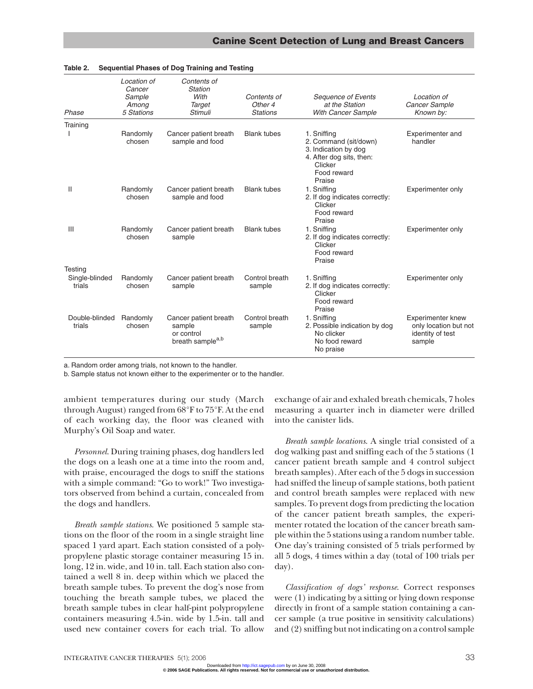| Phase                    | Location of<br>Cancer<br>Sample<br>Among<br>5 Stations | Contents of<br><b>Station</b><br>With<br>Target<br>Stimuli                    | Contents of<br>Other 4<br><b>Stations</b> | <b>Sequence of Events</b><br>at the Station<br><b>With Cancer Sample</b>                                                     | Location of<br><b>Cancer Sample</b><br>Known by:                                |
|--------------------------|--------------------------------------------------------|-------------------------------------------------------------------------------|-------------------------------------------|------------------------------------------------------------------------------------------------------------------------------|---------------------------------------------------------------------------------|
| Training                 |                                                        |                                                                               |                                           |                                                                                                                              |                                                                                 |
|                          | Randomly<br>chosen                                     | Cancer patient breath<br>sample and food                                      | <b>Blank tubes</b>                        | 1. Sniffing<br>2. Command (sit/down)<br>3. Indication by dog<br>4. After dog sits, then:<br>Clicker<br>Food reward<br>Praise | Experimenter and<br>handler                                                     |
| $\mathbf{I}$             | Randomly<br>chosen                                     | Cancer patient breath<br>sample and food                                      | <b>Blank tubes</b>                        | 1. Sniffing<br>2. If dog indicates correctly:<br>Clicker<br>Food reward<br>Praise                                            | Experimenter only                                                               |
| $\mathbf{III}$           | Randomly<br>chosen                                     | Cancer patient breath<br>sample                                               | <b>Blank tubes</b>                        | 1. Sniffing<br>2. If dog indicates correctly:<br>Clicker<br>Food reward<br>Praise                                            | Experimenter only                                                               |
| Testing                  |                                                        |                                                                               |                                           |                                                                                                                              |                                                                                 |
| Single-blinded<br>trials | Randomly<br>chosen                                     | Cancer patient breath<br>sample                                               | Control breath<br>sample                  | 1. Sniffing<br>2. If dog indicates correctly:<br>Clicker<br>Food reward<br>Praise                                            | Experimenter only                                                               |
| Double-blinded<br>trials | Randomly<br>chosen                                     | Cancer patient breath<br>sample<br>or control<br>breath sample <sup>a,b</sup> | Control breath<br>sample                  | 1. Sniffing<br>2. Possible indication by dog<br>No clicker<br>No food reward<br>No praise                                    | <b>Experimenter knew</b><br>only location but not<br>identity of test<br>sample |

#### **Table 2. Sequential Phases of Dog Training and Testing**

a. Random order among trials, not known to the handler.

b. Sample status not known either to the experimenter or to the handler.

ambient temperatures during our study (March through August) ranged from 68°F to 75°F. At the end of each working day, the floor was cleaned with Murphy's Oil Soap and water.

exchange of air and exhaled breath chemicals, 7 holes measuring a quarter inch in diameter were drilled into the canister lids.

*Personnel*. During training phases, dog handlers led the dogs on a leash one at a time into the room and, with praise, encouraged the dogs to sniff the stations with a simple command: "Go to work!" Two investigators observed from behind a curtain, concealed from the dogs and handlers.

*Breath sample stations*. We positioned 5 sample stations on the floor of the room in a single straight line spaced 1 yard apart. Each station consisted of a polypropylene plastic storage container measuring 15 in. long, 12 in. wide, and 10 in. tall. Each station also contained a well 8 in. deep within which we placed the breath sample tubes. To prevent the dog's nose from touching the breath sample tubes, we placed the breath sample tubes in clear half-pint polypropylene containers measuring 4.5-in. wide by 1.5-in. tall and used new container covers for each trial. To allow

*Breath sample locations*. A single trial consisted of a dog walking past and sniffing each of the 5 stations (1 cancer patient breath sample and 4 control subject breath samples). After each of the 5 dogs in succession had sniffed the lineup of sample stations, both patient and control breath samples were replaced with new samples. To prevent dogs from predicting the location of the cancer patient breath samples, the experimenter rotated the location of the cancer breath sample within the 5 stations using a random number table. One day's training consisted of 5 trials performed by all 5 dogs, 4 times within a day (total of 100 trials per day).

*Classification of dogs' response*. Correct responses were (1) indicating by a sitting or lying down response directly in front of a sample station containing a cancer sample (a true positive in sensitivity calculations) and (2) sniffing but not indicating on a control sample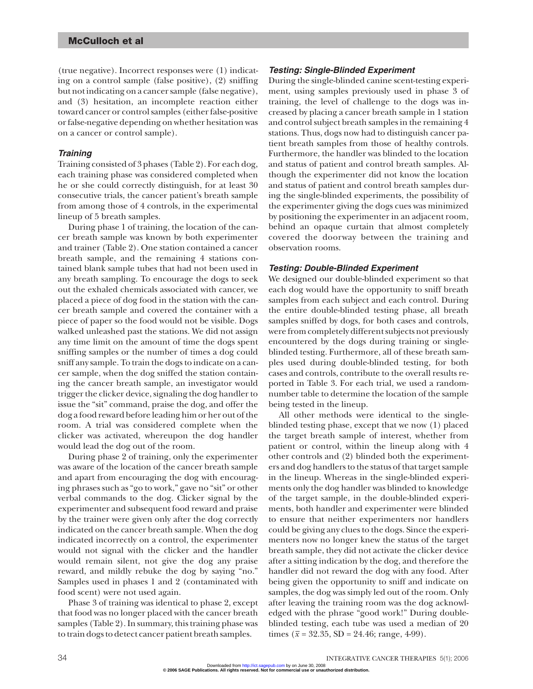(true negative). Incorrect responses were (1) indicating on a control sample (false positive), (2) sniffing but not indicating on a cancer sample (false negative), and (3) hesitation, an incomplete reaction either toward cancer or control samples (either false-positive or false-negative depending on whether hesitation was on a cancer or control sample).

#### **Training**

Training consisted of 3 phases (Table 2). For each dog, each training phase was considered completed when he or she could correctly distinguish, for at least 30 consecutive trials, the cancer patient's breath sample from among those of 4 controls, in the experimental lineup of 5 breath samples.

During phase 1 of training, the location of the cancer breath sample was known by both experimenter and trainer (Table 2). One station contained a cancer breath sample, and the remaining 4 stations contained blank sample tubes that had not been used in any breath sampling. To encourage the dogs to seek out the exhaled chemicals associated with cancer, we placed a piece of dog food in the station with the cancer breath sample and covered the container with a piece of paper so the food would not be visible. Dogs walked unleashed past the stations. We did not assign any time limit on the amount of time the dogs spent sniffing samples or the number of times a dog could sniff any sample. To train the dogs to indicate on a cancer sample, when the dog sniffed the station containing the cancer breath sample, an investigator would trigger the clicker device, signaling the dog handler to issue the "sit" command, praise the dog, and offer the dog a food reward before leading him or her out of the room. A trial was considered complete when the clicker was activated, whereupon the dog handler would lead the dog out of the room.

During phase 2 of training, only the experimenter was aware of the location of the cancer breath sample and apart from encouraging the dog with encouraging phrases such as "go to work," gave no "sit" or other verbal commands to the dog. Clicker signal by the experimenter and subsequent food reward and praise by the trainer were given only after the dog correctly indicated on the cancer breath sample. When the dog indicated incorrectly on a control, the experimenter would not signal with the clicker and the handler would remain silent, not give the dog any praise reward, and mildly rebuke the dog by saying "no." Samples used in phases 1 and 2 (contaminated with food scent) were not used again.

Phase 3 of training was identical to phase 2, except that food was no longer placed with the cancer breath samples (Table 2). In summary, this training phase was to train dogs to detect cancer patient breath samples.

#### **Testing: Single-Blinded Experiment**

During the single-blinded canine scent-testing experiment, using samples previously used in phase 3 of training, the level of challenge to the dogs was increased by placing a cancer breath sample in 1 station and control subject breath samples in the remaining 4 stations. Thus, dogs now had to distinguish cancer patient breath samples from those of healthy controls. Furthermore, the handler was blinded to the location and status of patient and control breath samples. Although the experimenter did not know the location and status of patient and control breath samples during the single-blinded experiments, the possibility of the experimenter giving the dogs cues was minimized by positioning the experimenter in an adjacent room, behind an opaque curtain that almost completely covered the doorway between the training and observation rooms.

#### **Testing: Double-Blinded Experiment**

We designed our double-blinded experiment so that each dog would have the opportunity to sniff breath samples from each subject and each control. During the entire double-blinded testing phase, all breath samples sniffed by dogs, for both cases and controls, were from completely different subjects not previously encountered by the dogs during training or singleblinded testing. Furthermore, all of these breath samples used during double-blinded testing, for both cases and controls, contribute to the overall results reported in Table 3. For each trial, we used a randomnumber table to determine the location of the sample being tested in the lineup.

All other methods were identical to the singleblinded testing phase, except that we now (1) placed the target breath sample of interest, whether from patient or control, within the lineup along with 4 other controls and (2) blinded both the experimenters and dog handlers to the status of that target sample in the lineup. Whereas in the single-blinded experiments only the dog handler was blinded to knowledge of the target sample, in the double-blinded experiments, both handler and experimenter were blinded to ensure that neither experimenters nor handlers could be giving any clues to the dogs. Since the experimenters now no longer knew the status of the target breath sample, they did not activate the clicker device after a sitting indication by the dog, and therefore the handler did not reward the dog with any food. After being given the opportunity to sniff and indicate on samples, the dog was simply led out of the room. Only after leaving the training room was the dog acknowledged with the phrase "good work!" During doubleblinded testing, each tube was used a median of 20 times ( $\bar{x}$  = 32.35, SD = 24.46; range, 4-99).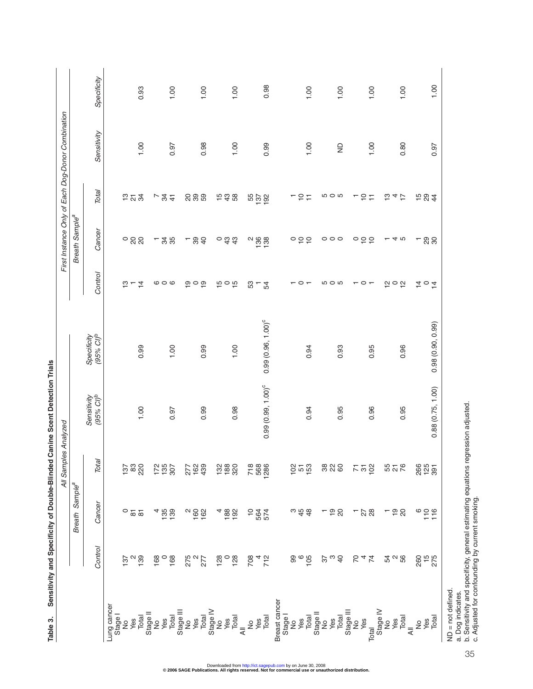a. Dog indicates.

ND = not defined.

35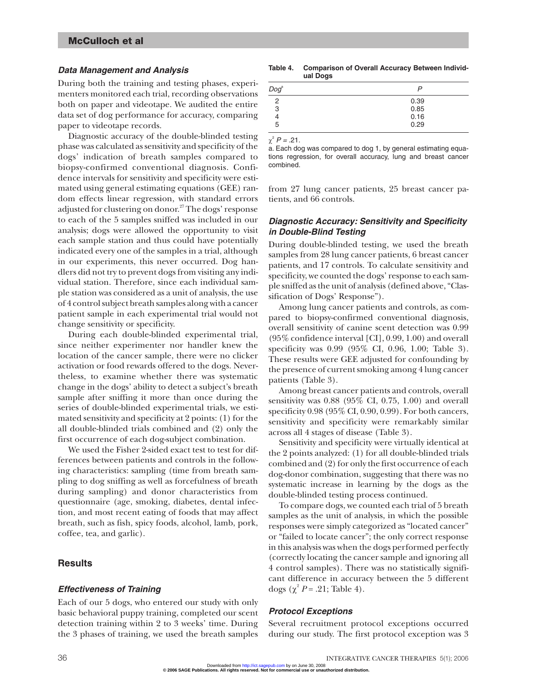#### **Data Management and Analysis**

During both the training and testing phases, experimenters monitored each trial, recording observations both on paper and videotape. We audited the entire data set of dog performance for accuracy, comparing paper to videotape records.

Diagnostic accuracy of the double-blinded testing phase was calculated as sensitivity and specificity of the dogs' indication of breath samples compared to biopsy-confirmed conventional diagnosis. Confidence intervals for sensitivity and specificity were estimated using general estimating equations (GEE) random effects linear regression, with standard errors adjusted for clustering on donor.<sup>27</sup> The dogs' response to each of the 5 samples sniffed was included in our analysis; dogs were allowed the opportunity to visit each sample station and thus could have potentially indicated every one of the samples in a trial, although in our experiments, this never occurred. Dog handlers did not try to prevent dogs from visiting any individual station. Therefore, since each individual sample station was considered as a unit of analysis, the use of 4 control subject breath samples along with a cancer patient sample in each experimental trial would not change sensitivity or specificity.

During each double-blinded experimental trial, since neither experimenter nor handler knew the location of the cancer sample, there were no clicker activation or food rewards offered to the dogs. Nevertheless, to examine whether there was systematic change in the dogs' ability to detect a subject's breath sample after sniffing it more than once during the series of double-blinded experimental trials, we estimated sensitivity and specificity at 2 points: (1) for the all double-blinded trials combined and (2) only the first occurrence of each dog-subject combination.

We used the Fisher 2-sided exact test to test for differences between patients and controls in the following characteristics: sampling (time from breath sampling to dog sniffing as well as forcefulness of breath during sampling) and donor characteristics from questionnaire (age, smoking, diabetes, dental infection, and most recent eating of foods that may affect breath, such as fish, spicy foods, alcohol, lamb, pork, coffee, tea, and garlic).

#### **Results**

#### **Effectiveness of Training**

Each of our 5 dogs, who entered our study with only basic behavioral puppy training, completed our scent detection training within 2 to 3 weeks' time. During the 3 phases of training, we used the breath samples

**Table 4. Comparison of Overall Accuracy Between Individual Dogs**

| $Dog^a$ |                                      |
|---------|--------------------------------------|
| 2       | $0.39$<br>$0.85$<br>$0.16$<br>$0.29$ |
| 3       |                                      |
| 4       |                                      |
| 5       |                                      |

 $\chi^2 P = .21.$ 

a. Each dog was compared to dog 1, by general estimating equations regression, for overall accuracy, lung and breast cancer combined.

from 27 lung cancer patients, 25 breast cancer patients, and 66 controls.

#### **Diagnostic Accuracy: Sensitivity and Specificity in Double-Blind Testing**

During double-blinded testing, we used the breath samples from 28 lung cancer patients, 6 breast cancer patients, and 17 controls. To calculate sensitivity and specificity, we counted the dogs' response to each sample sniffed as the unit of analysis (defined above, "Classification of Dogs' Response").

Among lung cancer patients and controls, as compared to biopsy-confirmed conventional diagnosis, overall sensitivity of canine scent detection was 0.99 (95% confidence interval [CI], 0.99, 1.00) and overall specificity was 0.99 (95% CI, 0.96, 1.00; Table 3). These results were GEE adjusted for confounding by the presence of current smoking among 4 lung cancer patients (Table 3).

Among breast cancer patients and controls, overall sensitivity was  $0.88$  (95% CI, 0.75, 1.00) and overall specificity 0.98 (95% CI, 0.90, 0.99). For both cancers, sensitivity and specificity were remarkably similar across all 4 stages of disease (Table 3).

Sensitivity and specificity were virtually identical at the 2 points analyzed: (1) for all double-blinded trials combined and (2) for only the first occurrence of each dog-donor combination, suggesting that there was no systematic increase in learning by the dogs as the double-blinded testing process continued.

To compare dogs, we counted each trial of 5 breath samples as the unit of analysis, in which the possible responses were simply categorized as "located cancer" or "failed to locate cancer"; the only correct response in this analysis was when the dogs performed perfectly (correctly locating the cancer sample and ignoring all 4 control samples). There was no statistically significant difference in accuracy between the 5 different dogs  $(\chi^2 P = .21;$  Table 4).

#### **Protocol Exceptions**

Several recruitment protocol exceptions occurred during our study. The first protocol exception was 3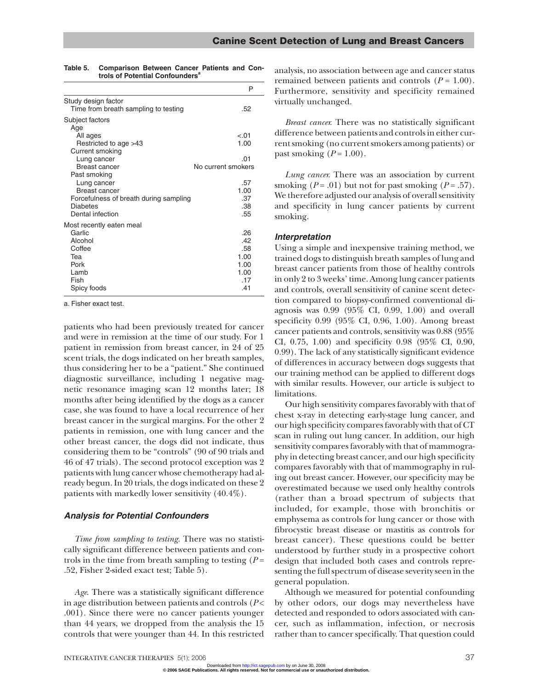|                                                             | P                  |
|-------------------------------------------------------------|--------------------|
| Study design factor<br>Time from breath sampling to testing | .52                |
| Subject factors<br>Age                                      |                    |
| All ages                                                    | $-.01$             |
| Restricted to age >43<br>Current smoking                    | 1.00               |
| Lung cancer                                                 | .01                |
| Breast cancer<br>Past smoking                               | No current smokers |
| Lung cancer                                                 | .57                |
| <b>Breast cancer</b>                                        | 1.00               |
| Forcefulness of breath during sampling                      | .37                |
| Diabetes                                                    | .38                |
| Dental infection                                            | .55                |
| Most recently eaten meal                                    |                    |
| Garlic                                                      | .26                |
| Alcohol                                                     | .42                |
| Coffee                                                      | .58                |
| Tea                                                         | 1.00               |
| Pork                                                        | 1.00               |
| Lamb                                                        | 1.00               |
| Fish                                                        | .17                |
| Spicy foods                                                 | .41                |

| Table 5. | Comparison Between Cancer Patients and Con- |  |  |  |
|----------|---------------------------------------------|--|--|--|
|          | trols of Potential Confounders <sup>®</sup> |  |  |  |

a. Fisher exact test.

patients who had been previously treated for cancer and were in remission at the time of our study. For 1 patient in remission from breast cancer, in 24 of 25 scent trials, the dogs indicated on her breath samples, thus considering her to be a "patient." She continued diagnostic surveillance, including 1 negative magnetic resonance imaging scan 12 months later; 18 months after being identified by the dogs as a cancer case, she was found to have a local recurrence of her breast cancer in the surgical margins. For the other 2 patients in remission, one with lung cancer and the other breast cancer, the dogs did not indicate, thus considering them to be "controls" (90 of 90 trials and 46 of 47 trials). The second protocol exception was 2 patients with lung cancer whose chemotherapy had already begun. In 20 trials, the dogs indicated on these 2 patients with markedly lower sensitivity (40.4%).

#### **Analysis for Potential Confounders**

*Time from sampling to testing*. There was no statistically significant difference between patients and controls in the time from breath sampling to testing (*P* = .52, Fisher 2-sided exact test; Table 5).

*Age*. There was a statistically significant difference in age distribution between patients and controls (*P* < .001). Since there were no cancer patients younger than 44 years, we dropped from the analysis the 15 controls that were younger than 44. In this restricted

analysis, no association between age and cancer status remained between patients and controls  $(P = 1.00)$ . Furthermore, sensitivity and specificity remained virtually unchanged.

*Breast cancer*. There was no statistically significant difference between patients and controls in either current smoking (no current smokers among patients) or past smoking  $(P = 1.00)$ .

*Lung cancer*. There was an association by current smoking  $(P = .01)$  but not for past smoking  $(P = .57)$ . We therefore adjusted our analysis of overall sensitivity and specificity in lung cancer patients by current smoking.

#### **Interpretation**

Using a simple and inexpensive training method, we trained dogs to distinguish breath samples of lung and breast cancer patients from those of healthy controls in only 2 to 3 weeks' time. Among lung cancer patients and controls, overall sensitivity of canine scent detection compared to biopsy-confirmed conventional diagnosis was 0.99 (95% CI, 0.99, 1.00) and overall specificity 0.99 (95% CI, 0.96, 1.00). Among breast cancer patients and controls, sensitivity was 0.88 (95% CI, 0.75, 1.00) and specificity 0.98 (95% CI, 0.90, 0.99). The lack of any statistically significant evidence of differences in accuracy between dogs suggests that our training method can be applied to different dogs with similar results. However, our article is subject to limitations.

Our high sensitivity compares favorably with that of chest x-ray in detecting early-stage lung cancer, and our high specificity compares favorably with that of CT scan in ruling out lung cancer. In addition, our high sensitivity compares favorably with that of mammography in detecting breast cancer, and our high specificity compares favorably with that of mammography in ruling out breast cancer. However, our specificity may be overestimated because we used only healthy controls (rather than a broad spectrum of subjects that included, for example, those with bronchitis or emphysema as controls for lung cancer or those with fibrocystic breast disease or mastitis as controls for breast cancer). These questions could be better understood by further study in a prospective cohort design that included both cases and controls representing the full spectrum of disease severity seen in the general population.

Although we measured for potential confounding by other odors, our dogs may nevertheless have detected and responded to odors associated with cancer, such as inflammation, infection, or necrosis rather than to cancer specifically. That question could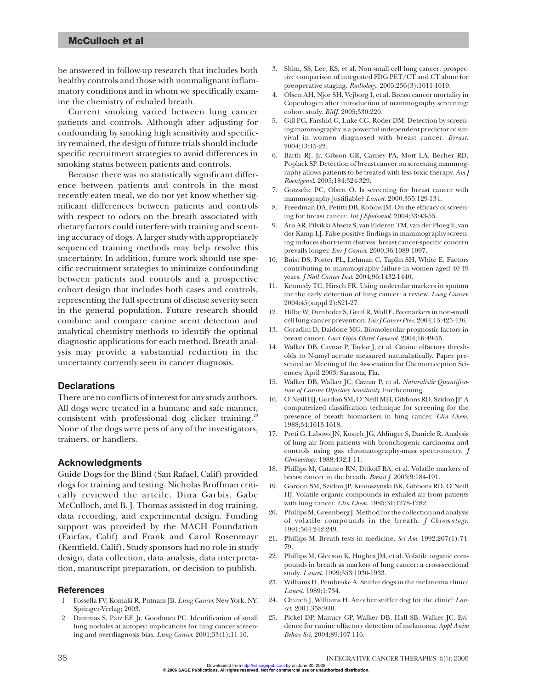be answered in follow-up research that includes both healthy controls and those with nonmalignant inflammatory conditions and in whom we specifically examine the chemistry of exhaled breath.

Current smoking varied between lung cancer patients and controls. Although after adjusting for confounding by smoking high sensitivity and specificity remained, the design of future trials should include specific recruitment strategies to avoid differences in smoking status between patients and controls.

Because there was no statistically significant difference between patients and controls in the most recently eaten meal, we do not yet know whether significant differences between patients and controls with respect to odors on the breath associated with dietary factors could interfere with training and scenting accuracy of dogs. A larger study with appropriately sequenced training methods may help resolve this uncertainty. In addition, future work should use specific recruitment strategies to minimize confounding between patients and controls and a prospective cohort design that includes both cases and controls, representing the full spectrum of disease severity seen in the general population. Future research should combine and compare canine scent detection and analytical chemistry methods to identify the optimal diagnostic applications for each method. Breath analysis may provide a substantial reduction in the uncertainty currently seen in cancer diagnosis.

#### **Declarations**

There are no conflicts of interest for any study authors. All dogs were treated in a humane and safe manner, consistent with professional dog clicker training.<sup>28</sup> None of the dogs were pets of any of the investigators, trainers, or handlers.

#### **Acknowledgments**

Guide Dogs for the Blind (San Rafael, Calif) provided dogs for training and testing. Nicholas Broffman critically reviewed the artcile. Dina Garbis, Gabe McCulloch, and B. J. Thomas assisted in dog training, data recording, and experimental design. Funding support was provided by the MACH Foundation (Fairfax, Calif) and Frank and Carol Rosenmayr (Kentfield, Calif). Study sponsors had no role in study design, data collection, data analysis, data interpretation, manuscript preparation, or decision to publish.

#### **References**

- 1 Fossella FV, Komaki R, Putnam JB. *Lung Cancer*. New York, NY: Springer-Verlag; 2003.
- 2 Dammas S, Patz EF, Jr, Goodman PC. Identification of small lung nodules at autopsy: implications for lung cancer screening and overdiagnosis bias. *Lung Cancer*. 2001;33(1):11-16.
- 3. Shim, SS, Lee, KS, et al. Non-small cell lung cancer: prospective comparison of integrated FDG PET/CT and CT alone for preoperative staging. *Radiology.* 2005;236(3):1011-1019.
- 4. Olsen AH, Njor SH, Vejborg I, et al. Breast cancer mortality in Copenhagen after introduction of mammography screening: cohort study. *BMJ*. 2005;330:220.
- 5. Gill PG, Farshid G, Luke CG, Roder DM. Detection by screening mammography is a powerful independent predictor of survival in women diagnosed with breast cancer. *Breast*. 2004;13:15-22.
- 6. Barth RJ, Jr, Gibson GR, Carney PA, Mott LA, Becher RD, Poplack SP. Detection of breast cancer on screening mammography allows patients to be treated with less-toxic therapy. *Am J Roentgenol*. 2005;184:324-329.
- 7. Gotzsche PC, Olsen O. Is screening for breast cancer with mammography justifiable? *Lancet*. 2000;355:129-134.
- 8. Freedman DA, Petitti DB, Robins JM. On the efficacy of screening for breast cancer. *Int J Epidemiol*. 2004;33:43-55.
- 9. Aro AR, Pilvikki Absetz S, van Elderen TM, van der Ploeg E, van der Kamp LJ. False-positive findings in mammography screening induces short-term distress: breast cancer-specific concern prevails longer. *Eur J Cancer*. 2000;36:1089-1097.
- 10. Buist DS, Porter PL, Lehman C, Taplin SH, White E. Factors contributing to mammography failure in women aged 40-49 years. *J Natl Cancer Inst*. 2004;96:1432-1440.
- 11. Kennedy TC, Hirsch FR. Using molecular markers in sputum for the early detection of lung cancer: a review. *Lung Cancer*. 2004;45(suppl 2):S21-27.
- 12. Hilbe W, Dirnhofer S, Greil R, Woll E. Biomarkers in non-small cell lung cancer prevention. *Eur J Cancer Prev*. 2004;13:425-436.
- 13. Coradini D, Daidone MG. Biomolecular prognostic factors in breast cancer. *Curr Opin Obstet Gynecol*. 2004;16:49-55.
- 14. Walker DB, Cavnar P, Taylor J, et al. Canine olfactory thresholds to N-amyl acetate measured naturalistically. Paper presented at: Meeting of the Association for Chemoreception Sciences; April 2003; Sarasota, Fla.
- 15. Walker DB, Walker JC, Cavnar P, et al. *Naturalistic Quantification of Canine Olfactory Sensitivity*. Forthcoming.
- 16. O'Neill HJ, Gordon SM, O'Neill MH, Gibbons RD, Szidon JP. A computerized classification technique for screening for the presence of breath biomarkers in lung cancer. *Clin Chem*. 1988;34:1613-1618.
- 17. Preti G, Labows JN, Kostelc JG, Aldinger S, Daniele R. Analysis of lung air from patients with bronchogenic carcinoma and controls using gas chromatography-mass spectrometry. *J Chromatogr*. 1988;432:1-11.
- 18. Phillips M, Cataneo RN, Ditkoff BA, et al. Volatile markers of breast cancer in the breath. *Breast J*. 2003;9:184-191.
- 19. Gordon SM, Szidon JP, Krotoszynski BK, Gibbons RD, O'Neill HJ. Volatile organic compounds in exhaled air from patients with lung cancer. *Clin Chem*. 1985;31:1278-1282.
- 20. Phillips M, Greenberg J. Method for the collection and analysis of volatile compounds in the breath. *J Chromatogr*. 1991;564:242-249.
- 21. Phillips M. Breath tests in medicine. *Sci Am*. 1992;267(1):74- 79.
- 22. Phillips M, Gleeson K, Hughes JM, et al. Volatile organic compounds in breath as markers of lung cancer: a cross-sectional study. *Lancet*. 1999;353:1930-1933.
- 23. Williams H, Pembroke A. Sniffer dogs in the melanoma clinic? *Lancet*. 1989;1:734.
- 24. Church J, Williams H. Another sniffer dog for the clinic? *Lancet*. 2001;358:930.
- 25. Pickel DP, Manucy GP, Walker DB, Hall SB, Walker JC. Evidence for canine olfactory detection of melanoma. *Appl Anim Behav Sci*. 2004;89:107-116.